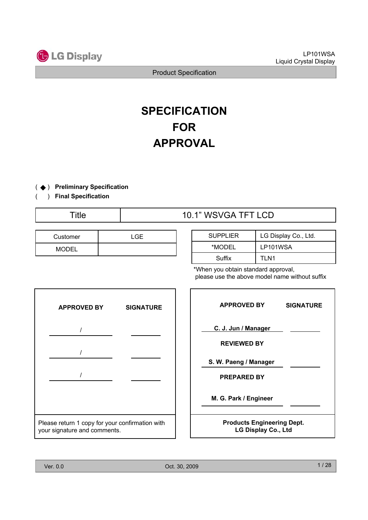

# **SPECIFICATION FOR APPROVAL**

( $\blacklozenge$ ) Preliminary Specification ଝ

( ) **Final Specification**

## Title  $\overline{10.1}$ " WSVGA TFT LCD

| Customer     | LGE. |
|--------------|------|
| <b>MODEL</b> |      |

| <b>SUPPLIER</b> | LG Display Co., Ltd. |
|-----------------|----------------------|
| *MODEL          | LP101WSA             |
| Suffix          | TI N1                |

\*When you obtain standard approval, please use the above model name without suffix

| <b>APPROVED BY</b>                                                              | <b>SIGNATURE</b> |
|---------------------------------------------------------------------------------|------------------|
|                                                                                 |                  |
|                                                                                 |                  |
|                                                                                 |                  |
|                                                                                 |                  |
|                                                                                 |                  |
| Please return 1 copy for your confirmation with<br>your signature and comments. |                  |

| <b>APPROVED BY</b>                                              | <b>SIGNATURE</b> |
|-----------------------------------------------------------------|------------------|
| C. J. Jun / Manager                                             |                  |
| <b>REVIEWED BY</b>                                              |                  |
| S. W. Paeng / Manager                                           |                  |
| <b>PREPARED BY</b>                                              |                  |
| M. G. Park / Engineer                                           |                  |
| <b>Products Engineering Dept.</b><br><b>LG Display Co., Ltd</b> |                  |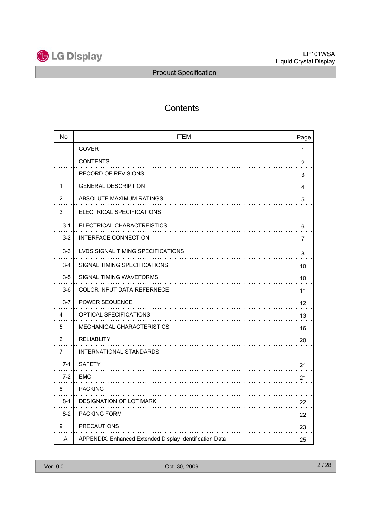

## **Contents**

| <b>No</b>      | <b>ITEM</b>                                             | Page                    |
|----------------|---------------------------------------------------------|-------------------------|
|                | <b>COVER</b>                                            | 1                       |
|                | <b>CONTENTS</b>                                         | $\overline{2}$          |
|                | <b>RECORD OF REVISIONS</b>                              | 3                       |
| 1              | <b>GENERAL DESCRIPTION</b>                              | $\overline{\mathbf{4}}$ |
| 2              | ABSOLUTE MAXIMUM RATINGS                                | 5                       |
| 3              | ELECTRICAL SPECIFICATIONS                               |                         |
| $3 - 1$        | ELECTRICAL CHARACTREISTICS                              | 6                       |
| $3 - 2$        | INTERFACE CONNECTION                                    | $\overline{7}$          |
| $3-3$          | LVDS SIGNAL TIMING SPECIFICATIONS                       | 8                       |
| $3 - 4$        | SIGNAL TIMING SPECIFICATIONS                            | 10                      |
| $3-5$          | SIGNAL TIMING WAVEFORMS                                 | 10                      |
| $3-6$          | <b>COLOR INPUT DATA REFERNECE</b>                       | 11                      |
| $3 - 7$        | <b>POWER SEQUENCE</b>                                   | 12                      |
| 4              | <b>OPTICAL SFECIFICATIONS</b>                           | 13                      |
| 5              | MECHANICAL CHARACTERISTICS                              | 16                      |
| 6              | <b>RELIABLITY</b>                                       | 20                      |
| $\overline{7}$ | INTERNATIONAL STANDARDS                                 |                         |
| $7 - 1$        | <b>SAFETY</b>                                           | 21                      |
| $7 - 2$        | <b>EMC</b>                                              | 21                      |
| 8              | <b>PACKING</b>                                          |                         |
| $8 - 1$        | DESIGNATION OF LOT MARK                                 | 22                      |
| $8-2$          | <b>PACKING FORM</b>                                     | 22                      |
| 9              | <b>PRECAUTIONS</b>                                      | 23                      |
| A              | APPENDIX. Enhanced Extended Display Identification Data | 25                      |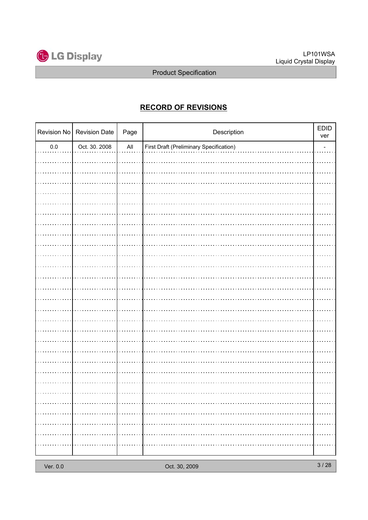

## **RECORD OF REVISIONS**

|         | Revision No   Revision Date | Page           | Description                                    | <b>EDID</b><br>ver |
|---------|-----------------------------|----------------|------------------------------------------------|--------------------|
| $0.0\,$ | Oct. 30. 2008               | $\mathsf{All}$ | <b>First Draft (Preliminary Specification)</b> |                    |
|         |                             |                |                                                |                    |
|         |                             |                |                                                |                    |
|         |                             |                |                                                |                    |
|         |                             |                |                                                |                    |
|         |                             |                |                                                |                    |
|         |                             |                |                                                |                    |
|         |                             |                |                                                |                    |
|         |                             |                |                                                |                    |
|         |                             |                |                                                |                    |
|         |                             |                |                                                |                    |
|         |                             |                |                                                |                    |
|         |                             |                |                                                |                    |
|         |                             |                |                                                |                    |
|         |                             |                |                                                |                    |
|         |                             |                |                                                |                    |
|         |                             |                |                                                |                    |
|         |                             |                |                                                |                    |
|         |                             |                |                                                |                    |
|         |                             |                |                                                |                    |
|         |                             |                |                                                |                    |
|         |                             |                |                                                |                    |
|         |                             |                |                                                |                    |
|         |                             |                |                                                |                    |
|         |                             |                |                                                |                    |
|         |                             |                |                                                |                    |
|         |                             |                |                                                | .                  |
| .       | . <b>.</b>                  |                |                                                | .                  |
| . 1     | . <b>.</b>                  |                |                                                | .                  |
|         |                             |                |                                                | .                  |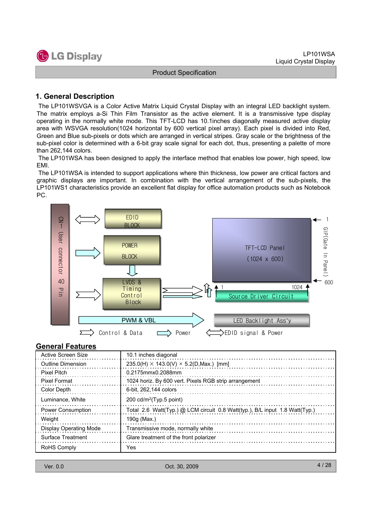#### **1. General Description**

The LP101WSVGA is a Color Active Matrix Liquid Crystal Display with an integral LED backlight system. The matrix employs a-Si Thin Film Transistor as the active element. It is a transmissive type display operating in the normally white mode. This TFT-LCD has 10.1inches diagonally measured active display area with WSVGA resolution(1024 horizontal by 600 vertical pixel array). Each pixel is divided into Red, Green and Blue sub-pixels or dots which are arranged in vertical stripes. Gray scale or the brightness of the sub-pixel color is determined with a 6-bit gray scale signal for each dot, thus, presenting a palette of more than 262,144 colors.

The LP101WSA has been designed to apply the interface method that enables low power, high speed, low EMI.

The LP101WSA is intended to support applications where thin thickness, low power are critical factors and graphic displays are important. In combination with the vertical arrangement of the sub-pixels, the LP101WS1 characteristics provide an excellent flat display for office automation products such as Notebook PC.



#### **General Features**

| Active Screen Size            | 10.1 inches diagonal                                                        |
|-------------------------------|-----------------------------------------------------------------------------|
| <b>Outline Dimension</b>      | 235.0(H) $\times$ 143.0(V) $\times$ 5.2(D,Max.) [mm]                        |
| <b>Pixel Pitch</b>            | 0.2175mmx0.2088mm                                                           |
| <b>Pixel Format</b>           | 1024 horiz. By 600 vert. Pixels RGB strip arrangement                       |
| Color Depth                   | 6-bit. 262.144 colors                                                       |
| Luminance, White              | 200 $cd/m^2$ (Typ.5 point)                                                  |
| <b>Power Consumption</b>      | Total 2.6 Watt(Typ.) @ LCM circuit 0.8 Watt(typ.), B/L input 1.8 Watt(Typ.) |
| Weight                        | 190g (Max.)                                                                 |
| <b>Display Operating Mode</b> | Transmissive mode, normally white                                           |
| Surface Treatment             | Glare treatment of the front polarizer                                      |
| RoHS Comply                   | Yes                                                                         |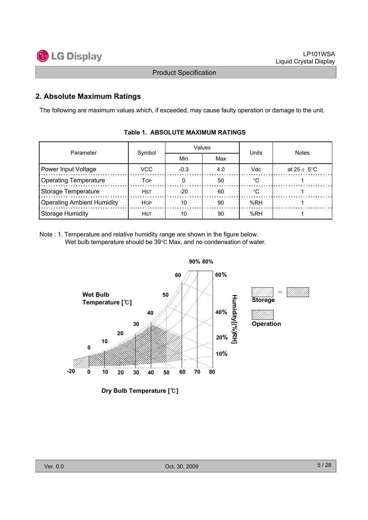

#### **2. Absolute Maximum Ratings**

The following are maximum values which, if exceeded, may cause faulty operation or damage to the unit.

| Parameter                  |        |        | Values | Units | <b>Notes</b>            |  |
|----------------------------|--------|--------|--------|-------|-------------------------|--|
|                            | Symbol | Min    | Max    |       |                         |  |
| Power Input Voltage        | VCC    | $-0.3$ | 4.0    | Vdc   | at $25 \pm 5^{\circ}$ C |  |
| Operating Temperature      | TOP    |        | 50     | ം     |                         |  |
| Storage Temperature        | Hst    | -20    | 60     |       |                         |  |
| Operating Ambient Humidity | HOP    | 10     | 90     | %RH   |                         |  |
| Storage Humidity           | Hst    |        | 90     | %RH   |                         |  |

#### **Table 1. ABSOLUTE MAXIMUM RATINGS**

Note : 1. Temperature and relative humidity range are shown in the figure below. Wet bulb temperature should be  $39^{\circ}$ C Max, and no condensation of water.

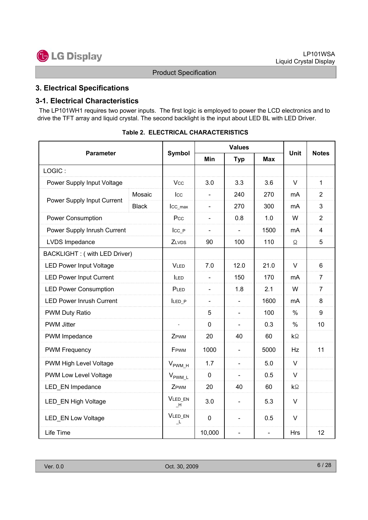## **3. Electrical Specifications**

#### **3-1. Electrical Characteristics**

The LP101WH1 requires two power inputs. The first logic is employed to power the LCD electronics and to drive the TFT array and liquid crystal. The second backlight is the input about LED BL with LED Driver.

|                                 |              |                     |                | <b>Values</b>            |                |                    |                |
|---------------------------------|--------------|---------------------|----------------|--------------------------|----------------|--------------------|----------------|
| <b>Parameter</b>                |              | Symbol              | Min            | <b>Typ</b>               | <b>Max</b>     | <b>Unit</b>        | <b>Notes</b>   |
| LOGIC:                          |              |                     |                |                          |                |                    |                |
| Power Supply Input Voltage      |              | <b>Vcc</b>          | 3.0            | 3.3                      | 3.6            | $\vee$             | $\mathbf{1}$   |
| Power Supply Input Current      | Mosaic       | Icc                 | $\blacksquare$ | 240                      | 270            | mA                 | $\overline{2}$ |
|                                 | <b>Black</b> | Icc_max             | $\blacksquare$ | 270                      | 300            | mA                 | 3              |
| <b>Power Consumption</b>        |              | Pcc                 | $\blacksquare$ | 0.8                      | 1.0            | W                  | $\overline{2}$ |
| Power Supply Inrush Current     |              | $_{\text{ICC}_P}$   | $\blacksquare$ | $\sim$                   | 1500           | mA                 | $\overline{4}$ |
| LVDS Impedance                  |              | ZLVDS               | 90             | 100                      | 110            | Ω                  | 5              |
| BACKLIGHT: (with LED Driver)    |              |                     |                |                          |                |                    |                |
| <b>LED Power Input Voltage</b>  |              | <b>VLED</b>         | 7.0            | 12.0                     | 21.0           | V                  | 6              |
| <b>LED Power Input Current</b>  |              |                     | $\blacksquare$ | 150                      | 170            | mA                 | $\overline{7}$ |
| <b>LED Power Consumption</b>    |              | PLED                | $\blacksquare$ | 1.8                      | 2.1            | W                  | $\overline{7}$ |
| <b>LED Power Inrush Current</b> |              | ILED P              | $\blacksquare$ | $\blacksquare$           | 1600           | mA                 | 8              |
| PWM Duty Ratio                  |              |                     | 5              | $\overline{\phantom{a}}$ | 100            | %                  | 9              |
| <b>PWM Jitter</b>               |              | L.                  | 0              | $\overline{\phantom{a}}$ | 0.3            | $\%$               | 10             |
| PWM Impedance                   |              | ZPWM                | 20             | 40                       | 60             | $\mathsf{k}\Omega$ |                |
| <b>PWM Frequency</b>            |              | FPWM                | 1000           | $\blacksquare$           | 5000           | Hz                 | 11             |
| PWM High Level Voltage          |              | $V_{\text{PWM\_H}}$ | 1.7            | $\blacksquare$           | 5.0            | V                  |                |
| PWM Low Level Voltage           |              | $V_{\text{PWM\_L}}$ | 0              |                          | 0.5            | V                  |                |
| LED_EN Impedance                |              | ZPWM                | 20             | 40                       | 60             | kΩ                 |                |
| LED_EN High Voltage             |              | VLED_EN<br>H        | 3.0            | $\blacksquare$           | 5.3            | $\vee$             |                |
| <b>LED_EN Low Voltage</b>       |              | VLED_EN<br>L,       | $\mathbf 0$    |                          | 0.5            | $\vee$             |                |
| Life Time                       |              |                     | 10,000         | $\blacksquare$           | $\blacksquare$ | <b>Hrs</b>         | 12             |

**Table 2. ELECTRICAL CHARACTERISTICS**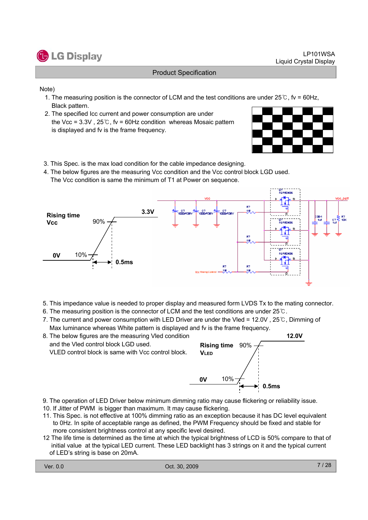

#### Note)

- 1. The measuring position is the connector of LCM and the test conditions are under 25 $\degree$ , fv = 60Hz, Black pattern.
- 2. The specified Icc current and power consumption are under the Vcc =  $3.3V$ ,  $25^\circ$ C, fv = 60Hz condition whereas Mosaic pattern is displayed and fv is the frame frequency.



- 3. This Spec. is the max load condition for the cable impedance designing.
- 4. The below figures are the measuring Vcc condition and the Vcc control block LGD used. The Vcc condition is same the minimum of T1 at Power on sequence.



- 5. This impedance value is needed to proper display and measured form LVDS Tx to the mating connector.
- 6. The measuring position is the connector of LCM and the test conditions are under  $25^{\circ}$ .
- 7. The current and power consumption with LED Driver are under the Vled =  $12.0V$ ,  $25^{\circ}$ C, Dimming of Max luminance whereas White pattern is displayed and fv is the frame frequency.



- 9. The operation of LED Driver below minimum dimming ratio may cause flickering or reliability issue.
- 10. If Jitter of PWM is bigger than maximum. It may cause flickering.
- 11. This Spec. is not effective at 100% dimming ratio as an exception because it has DC level equivalent to 0Hz. In spite of acceptable range as defined, the PWM Frequency should be fixed and stable for more consistent brightness control at any specific level desired.
- 12 The life time is determined as the time at which the typical brightness of LCD is 50% compare to that of initial value at the typical LED current. These LED backlight has 3 strings on it and the typical current of LED's string is base on 20mA.

**0.5ms**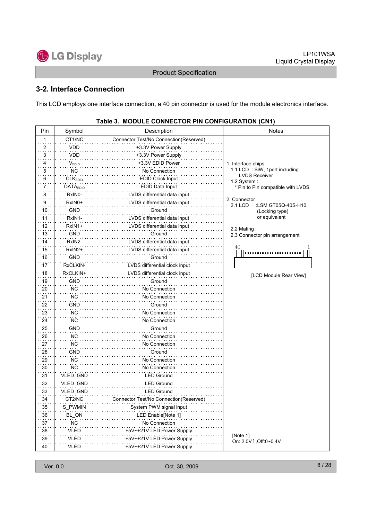## **3-2. Interface Connection**

This LCD employs one interface connection, a 40 pin connector is used for the module electronics interface.

| Pin                     | Symbol          | Description                            | Notes                                         |
|-------------------------|-----------------|----------------------------------------|-----------------------------------------------|
| 1                       | CT1/NC          | Connector Test/No Connection(Reserved) |                                               |
| $\overline{\mathbf{c}}$ | <b>VDD</b>      | +3.3V Power Supply                     |                                               |
| 3                       | <b>VDD</b>      | +3.3V Power Supply                     |                                               |
| 4                       | VEDID           | +3.3V EDID Power                       | 1, Interface chips                            |
| 5                       | <b>NC</b>       | No Connection                          | 1.1 LCD: SiW, 1port including                 |
| 6                       | <b>CLKEDID</b>  | <b>EDID Clock Input</b>                | <b>LVDS Receiver</b><br>1.2 System:           |
| 7                       | <b>DATAEDID</b> | EDID Data Input                        | * Pin to Pin compatible with LVDS             |
| 8                       | RxIN0-          | LVDS differential data input           |                                               |
| 9                       | RxIN0+          | LVDS differential data input           | 2. Connector<br>2.1 LCD<br>:LSM GT05Q-40S-H10 |
| 10                      | <b>GND</b>      | Ground                                 | (Locking type)                                |
| 11                      | RxIN1-          | LVDS differential data input           | or equivalent                                 |
| 12                      | RxIN1+          | LVDS differential data input           |                                               |
| 13                      | <b>GND</b>      | Ground                                 | 2.2 Mating:<br>2.3 Connector pin arrangement  |
| 14                      | RxIN2-          | LVDS differential data input           |                                               |
| 15                      | RxIN2+          | LVDS differential data input           | 40                                            |
| 16                      | <b>GND</b>      | Ground                                 |                                               |
| 17                      | RxCLKIN-        | LVDS differential clock input          |                                               |
| 18                      | RxCLKIN+        | LVDS differential clock input          |                                               |
| 19                      | <b>GND</b>      | Ground                                 | [LCD Module Rear View]                        |
| 20                      | <b>NC</b>       | No Connection                          |                                               |
| 21                      | <b>NC</b>       | No Connection                          |                                               |
| 22                      | GND             | Ground                                 |                                               |
| 23                      | <b>NC</b>       | No Connection                          |                                               |
| 24                      | NC              | No Connection                          |                                               |
| 25                      | <b>GND</b>      | Ground                                 |                                               |
| 26                      | <b>NC</b>       | No Connection                          |                                               |
| 27                      | <b>NC</b>       | No Connection                          |                                               |
| 28                      | <b>GND</b>      | Ground                                 |                                               |
| 29                      | <b>NC</b>       | No Connection                          |                                               |
| 30                      | <b>NC</b>       | No Connection                          |                                               |
| 31                      | VLED_GND        | <b>LED Ground</b>                      |                                               |
| 32                      | VLED_GND        | <b>LED Ground</b>                      |                                               |
| 33                      | VLED_GND        | <b>LED Ground</b>                      |                                               |
| 34                      | CT2/NC          | Connector Test/No Connection(Reserved) |                                               |
| 35                      | S_PWMIN         | System PWM signal input                |                                               |
| 36                      | BL_ON           | LED Enable[Note 1]                     |                                               |
| 37                      | <b>NC</b>       | No Connection                          |                                               |
| 38                      | VLED            | +5V~+21V LED Power Supply              |                                               |
| 39                      | <b>VLED</b>     | +5V~+21V LED Power Supply              | [Note 1]                                      |
| 40                      | <b>VLED</b>     | +5V~+21V LED Power Supply              | On: 2.0V ↑, Off: 0~0.4V                       |

#### **Table 3. MODULE CONNECTOR PIN CONFIGURATION (CN1)**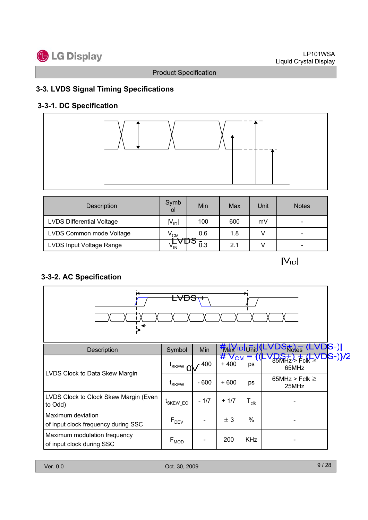## **3-3. LVDS Signal Timing Specifications**

## **3-3-1. DC Specification**



| Description                      | Symb<br>οI      | Min        | Max | Unit | <b>Notes</b>                 |
|----------------------------------|-----------------|------------|-----|------|------------------------------|
| <b>LVDS Differential Voltage</b> | $V_{\text{ID}}$ | 100        | 600 | mV   | $\overline{\phantom{0}}$     |
| LVDS Common mode Voltage         | $\rm V_{CM}$    | 0.6<br>صحب | 1.8 |      | $\qquad \qquad \blacksquare$ |
| LVDS Input Voltage Range         | v <sub>IN</sub> | 0.3        | 2.1 |      | $\overline{\phantom{0}}$     |

 $|V_{ID}|$ 

## **3-3-2. AC Specification**

| <del>LVDS</del>                                           |                             |        |                            |                  |                                                                    |             |  |
|-----------------------------------------------------------|-----------------------------|--------|----------------------------|------------------|--------------------------------------------------------------------|-------------|--|
| Description                                               | Symbol                      | Min    | <b>Max</b> IPI Unit        |                  | Notes.                                                             | S-)         |  |
|                                                           | $t_{SKEW}$ OV $^{-400}$     |        | $#V_{\text{CW}}$<br>$+400$ | ps               | $85$ <sub>MHz</sub> $\frac{1}{2}$ F <sub>c</sub> k $\geq$<br>65MHz | <u>}}/2</u> |  |
| LVDS Clock to Data Skew Margin                            | t <sub>SKEW</sub>           | $-600$ | $+600$                     | ps               | 65MHz > Fclk $\geq$<br>25MHz                                       |             |  |
| LVDS Clock to Clock Skew Margin (Even<br>to Odd)          | <sup>L</sup> SKEW_EO        | $-1/7$ | $+1/7$                     | $T_{\text{clk}}$ |                                                                    |             |  |
| Maximum deviation<br>of input clock frequency during SSC  | F <sub>DEV</sub>            |        | ± 3                        | $\%$             |                                                                    |             |  |
| Maximum modulation frequency<br>of input clock during SSC | $\mathsf{F}_{\mathsf{MOD}}$ |        | 200                        | <b>KHz</b>       |                                                                    |             |  |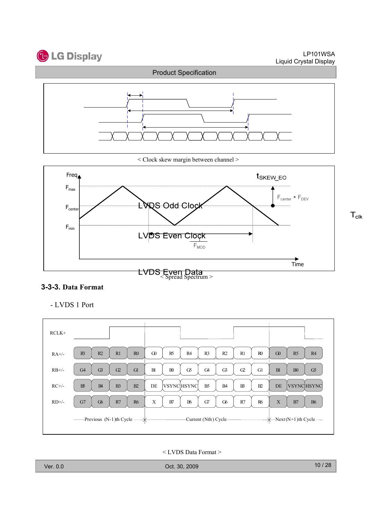



< Clock skew margin between channel >



### **3-3-3. Data Format**

G0 | R5 | R4 | R3 | R2 | R1 | R0 B1 B0 G5 G4 G3 G2 G1 DE VSYNC HSYNC B5  $\vert$  B4  $\vert$  B3  $\vert$  B2  $X \parallel B7 \parallel B6 \parallel G7 \parallel G6 \parallel R7 \parallel R6$  $R1 \mid R0$  $G2$  G1  $\mathbf{B3}$   $\mathbf{B2}$  $R7$  R6 G0 B1 DE X -Current (Nth) Cycle -R5 R4  $B0 \mid G5$ VSYNC HSYNC B7 B6  $R3 \mid R2$  $G4 \mid G3$  $\mathbb{B}$   $\mathbb{B}$ G7 G6 Previous (N-1)th Cycle Next(N+1)th Cycle RCLK+ RA+/-  $RB+/$ RC+/-  $RD+/-$ 

- LVDS 1 Port

#### < LVDS Data Format >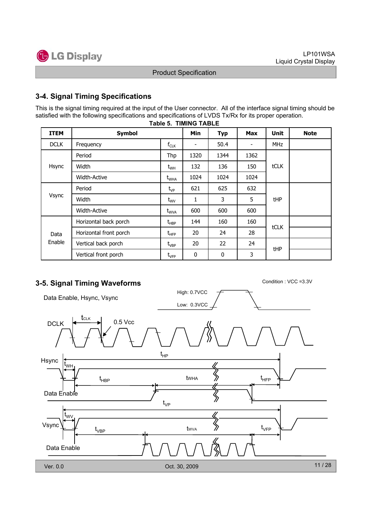## **3-4. Signal Timing Specifications**

**Table 5. TIMING TABLE** This is the signal timing required at the input of the User connector. All of the interface signal timing should be satisfied with the following specifications and specifications of LVDS Tx/Rx for its proper operation.

|             | IADIE Ə. TIMINU TADLE  |                                  |      |            |                          |            |             |  |  |  |  |
|-------------|------------------------|----------------------------------|------|------------|--------------------------|------------|-------------|--|--|--|--|
| <b>ITEM</b> | <b>Symbol</b>          |                                  | Min  | <b>Typ</b> | <b>Max</b>               | Unit       | <b>Note</b> |  |  |  |  |
| <b>DCLK</b> | Frequency              | $f_{CLK}$                        | ۰    | 50.4       | $\overline{\phantom{a}}$ | <b>MHz</b> |             |  |  |  |  |
|             | Period                 | Thp                              | 1320 | 1344       | 1362                     |            |             |  |  |  |  |
| Hsync       | Width                  | $t_{WH}$                         | 132  | 136        | 150                      | tCLK       |             |  |  |  |  |
|             | <b>Width-Active</b>    | $t_{\text{WHA}}$                 | 1024 | 1024       | 1024                     |            |             |  |  |  |  |
|             | Period                 | $t_{VP}$                         | 621  | 625        | 632                      |            |             |  |  |  |  |
| Vsync       | Width                  | $t_{\text{wv}}$                  | 1    | 3          | 5                        | tHP        |             |  |  |  |  |
|             | <b>Width-Active</b>    | $t_{\text{WVA}}$                 | 600  | 600        | 600                      |            |             |  |  |  |  |
|             | Horizontal back porch  | $t_{\sf HBP}$                    | 144  | 160        | 160                      |            |             |  |  |  |  |
| Data        | Horizontal front porch | $t_{\scriptscriptstyle \rm HFP}$ | 20   | 24         | 28                       | tCLK       |             |  |  |  |  |
| Enable      | Vertical back porch    | $t_{VBP}$                        | 20   | 22         | 24                       |            |             |  |  |  |  |
|             | Vertical front porch   | $\textsf{t}_{\sf VFP}$           | 0    | 0          | 3                        | <b>tHP</b> |             |  |  |  |  |

High: 0.7VCC

## **3-5. Signal Timing Waveforms** Condition : VCC =3.3V

Data Enable, Hsync, Vsync

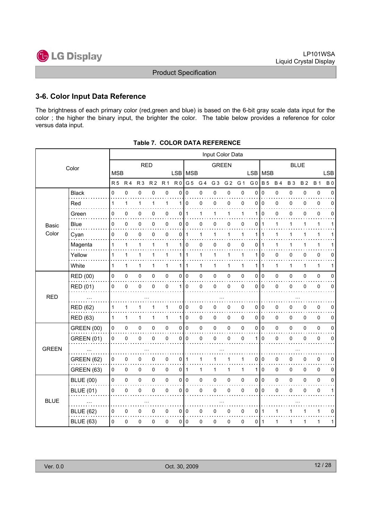#### **3-6. Color Input Data Reference**

The brightness of each primary color (red,green and blue) is based on the 6-bit gray scale data input for the color ; the higher the binary input, the brighter the color. The table below provides a reference for color versus data input.

|              |                   |            |              |            |                |              |                |              |                | Input Color Data |                |             |                |                |             |             |              |              |            |
|--------------|-------------------|------------|--------------|------------|----------------|--------------|----------------|--------------|----------------|------------------|----------------|-------------|----------------|----------------|-------------|-------------|--------------|--------------|------------|
|              | Color             |            |              | <b>RED</b> |                |              |                |              |                | <b>GREEN</b>     |                |             |                |                |             | <b>BLUE</b> |              |              |            |
|              |                   | <b>MSB</b> |              |            |                |              | LSB MSB        |              |                |                  |                |             | <b>LSB</b>     | <b>MSB</b>     |             |             |              |              | <b>LSB</b> |
|              |                   | R 5        | <b>R4</b>    | <b>R3</b>  | R <sub>2</sub> | <b>R1</b>    | R <sub>0</sub> | G 5          | G <sub>4</sub> | G <sub>3</sub>   | G <sub>2</sub> | G 1         | G <sub>0</sub> | <b>B</b> 5     | <b>B4</b>   | <b>B3</b>   | <b>B2</b>    | <b>B</b> 1   | <b>B0</b>  |
|              | <b>Black</b><br>. | 0          | 0            | 0          | 0              | 0            | 0              | 0            | 0              | 0                | 0              | $\pmb{0}$   | 0              | $\mathbf 0$    | 0           | 0           | 0            | $\pmb{0}$    | $\Omega$   |
|              | Red               | 1          | 1            | 1          | $\mathbf{1}$   | 1            | 1              | 0            | 0              | 0                | 0              | $\mathbf 0$ | 0              | $\Omega$       | $\mathbf 0$ | $\mathbf 0$ | 0            | 0            | $\Omega$   |
|              | Green             | 0          | 0            | 0          | 0              | 0            | 0              | $\mathbf 1$  | 1              | 1                | 1              | 1           | 1              | $\Omega$       | 0           | 0           | 0            | $\pmb{0}$    | $\Omega$   |
| Basic        | Blue              | 0          | 0            | 0          | 0              | $\pmb{0}$    | 0              | 0            | 0              | 0                | 0              | 0           | 0              | $\mathbf{1}$   | 1           | 1           | 1            | $\mathbf{1}$ | 1          |
| Color        | Cyan              | 0          | 0            | 0          | $\Omega$       | $\mathbf 0$  | 0              | $\mathbf{1}$ | 1              | 1                | $\mathbf{1}$   | 1           | 1              | $\mathbf 1$    | 1           | 1           | 1            | $\mathbf{1}$ |            |
|              | Magenta           | 1          | 1            | 1          | 1              | 1            | 1              | 0            | 0              | 0                | 0              | 0           | 0              | -1             | 1           | 1           |              | 1            |            |
|              | Yellow            | 1          | 1            | 1          | 1              | 1            | 1 <sup>1</sup> | $\mathbf{1}$ | 1              | 1                | 1              | 1           | 1              | 0              | 0           | 0           | 0            | 0            | 0          |
|              | White             | 1          | $\mathbf{1}$ | 1          | $\mathbf{1}$   | $\mathbf{1}$ | 1              | $\mathbf{1}$ | 1              | 1                | 1              | 1           | 1              | $\overline{1}$ | 1           | 1           | $\mathbf{1}$ | $\mathbf{1}$ | 1          |
|              | <b>RED (00)</b>   | 0          | $\pmb{0}$    | 0          | 0              | $\pmb{0}$    | 0              | $\mathbf 0$  | 0              | 0                | 0              | 0           | 0              | I٥             | 0           | 0           | 0            | $\mathbf 0$  | 0          |
|              | <b>RED (01)</b>   | 0          | 0            | 0          | 0              | 0            | 1              | 0            | 0              | 0                | 0              | 0           | 0              | $\mathbf 0$    | $\mathbf 0$ | 0           | 0            | 0            | $\Omega$   |
| <b>RED</b>   |                   |            |              |            |                |              |                |              |                |                  |                |             |                |                |             |             |              |              |            |
|              | <b>RED (62)</b>   | 1          | 1            | 1          |                | 1            | 0              | 0            | 0              | 0                | 0              | 0           | 0              | $\mathbf 0$    | 0           | 0           | 0            | 0            | 0          |
|              | <b>RED (63)</b>   | 1          | $\mathbf{1}$ | 1          | 1              | $\mathbf{1}$ | $\mathbf{1}$   | 0            | 0              | 0                | 0              | $\mathbf 0$ | 0 0            |                | 0           | 0           | 0            | 0            | 0          |
|              | <b>GREEN (00)</b> | 0          | $\pmb{0}$    | 0          | 0              | $\mathsf 0$  | 0              | $\mathbf 0$  | 0              | 0                | $\mathsf 0$    | 0           | 0              | I٥             | $\pmb{0}$   | 0           | 0            | 0            | 0          |
|              | <b>GREEN (01)</b> | 0          | 0            | 0          | 0              | 0            | 0              | 0            | 0              | 0                | 0              | 0           | 1              | 0              | 0           | 0           | 0            | 0            | 0          |
| <b>GREEN</b> |                   |            |              |            |                |              |                |              |                |                  |                |             |                |                |             |             |              |              |            |
|              | <b>GREEN (62)</b> | 0          | 0            | 0          | 0              | 0            | 0              | $\mathbf{1}$ | 1              | 1                | 1              | 1           | 0              | 0              | 0           | 0           | 0            | $\pmb{0}$    | 0          |
|              | <b>GREEN (63)</b> | 0          | 0            | 0          | 0              | $\pmb{0}$    | 0              | $\mathbf{1}$ | 1              | 1                | 1              | 1           | 1              | $\mathbf 0$    | 0           | 0           | 0            | $\mathbf 0$  | 0          |
|              | <b>BLUE (00)</b>  | 0          | $\pmb{0}$    | 0          | 0              | $\pmb{0}$    | 0              | $\pmb{0}$    | 0              | 0                | 0              | 0           | 0              | $\overline{0}$ | 0           | 0           | 0            | 0            | 0          |
|              | <b>BLUE (01)</b>  | 0          | $\mathbf 0$  | 0          | $\Omega$       | 0            | 0              | $\Omega$     | 0              | 0                | 0              | 0           | 0              | $\Omega$       | $\mathbf 0$ | $\mathbf 0$ | 0            | 0            | 1          |
| <b>BLUE</b>  |                   |            |              |            |                |              |                |              |                |                  |                |             |                |                |             |             |              |              |            |
|              | <b>BLUE (62)</b>  | 0          | 0            | 0          | 0              | 0            | 0              | $\mathbf 0$  | 0              | 0                | 0              | $\mathbf 0$ | 0              | $\overline{1}$ | 1           | 1           |              | $\mathbf{1}$ | $\Omega$   |
|              | <b>BLUE (63)</b>  | 0          | 0            | 0          | 0              | $\pmb{0}$    | 0              | $\mathbf 0$  | 0              | 0                | 0              | $\mathbf 0$ | 011            |                | 1           | 1           | 1            | 1            | 1          |

#### **Table 7. COLOR DATA REFERENCE**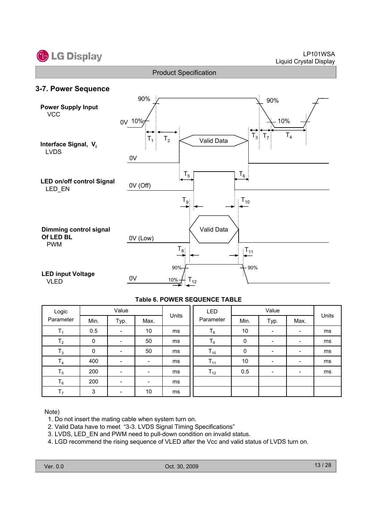





#### **Table 6. POWER SEQUENCE TABLE**

| Logic          |      | Value |                          |       | LED       |      | Units                    |                              |    |
|----------------|------|-------|--------------------------|-------|-----------|------|--------------------------|------------------------------|----|
| Parameter      | Min. | Typ.  | Max.                     | Units | Parameter | Min. | Typ.                     | Max.                         |    |
| $\mathbf{I}_1$ | 0.5  |       | 10                       | ms    | $T_8$     | 10   | $\overline{\phantom{a}}$ | -                            | ms |
| T <sub>2</sub> | 0    |       | 50                       | ms    | $T_{9}$   | 0    | -                        | -                            | ms |
| $T_3$          | 0    |       | 50                       | ms    | $T_{10}$  | 0    | $\overline{\phantom{a}}$ | $\qquad \qquad \blacksquare$ | ms |
| T <sub>4</sub> | 400  |       | $\overline{\phantom{a}}$ | ms    | $T_{11}$  | 10   | -                        | ۰.                           | ms |
| $T_5$          | 200  |       |                          | ms    | $T_{12}$  | 0.5  | $\overline{\phantom{a}}$ | $\blacksquare$               | ms |
| $T_6$          | 200  |       | $\overline{\phantom{0}}$ | ms    |           |      |                          |                              |    |
| T <sub>7</sub> | 3    |       | 10                       | ms    |           |      |                          |                              |    |

#### Note)

- 1. Do not insert the mating cable when system turn on.
- 2. Valid Data have to meet "3-3. LVDS Signal Timing Specifications"
- 3. LVDS, LED\_EN and PWM need to pull-down condition on invalid status.
- 4. LGD recommend the rising sequence of VLED after the Vcc and valid status of LVDS turn on.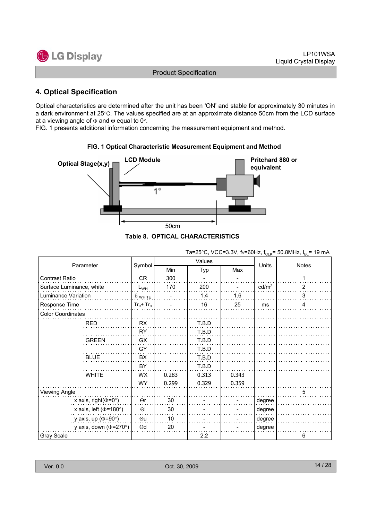

## **4. Optical Specification**

Optical characteristics are determined after the unit has been 'ON' and stable for approximately 30 minutes in a dark environment at 25°C. The values specified are at an approximate distance 50cm from the LCD surface at a viewing angle of  $\Phi$  and  $\Theta$  equal to 0°.

FIG. 1 presents additional information concerning the measurement equipment and method.



**FIG. 1 Optical Characteristic Measurement Equipment and Method**

**Table 8. OPTICAL CHARACTERISTICS**

|                              |                |       | Values |       |                   |                |  |
|------------------------------|----------------|-------|--------|-------|-------------------|----------------|--|
| Parameter                    | Symbol         | Min   | Typ    | Max   | Units             | <b>Notes</b>   |  |
| Contrast Ratio               | <b>CR</b>      | 300   |        |       |                   |                |  |
| Surface Luminance, white     | $L_{WH}$       | 170   | 200    |       | cd/m <sup>2</sup> | $\overline{2}$ |  |
| Luminance Variation          | $\delta$ white |       | 1.4    | 1.6   |                   | 3              |  |
| Response Time                | $Tr_R + Tr_D$  |       | 16     | 25    | ms                | 4              |  |
| <b>Color Coordinates</b>     |                |       |        |       |                   |                |  |
| <b>RED</b>                   | RX             |       | T.B.D  |       |                   |                |  |
|                              | RY             |       | T.B.D  |       |                   |                |  |
| <b>GREEN</b>                 | <b>GX</b>      |       | T.B.D  |       |                   |                |  |
|                              | GY             |       | T.B.D  |       |                   |                |  |
| <b>BLUE</b>                  | BX             |       | T.B.D  |       |                   |                |  |
|                              | BY             |       | T.B.D  |       |                   |                |  |
| <b>WHITE</b>                 | <b>WX</b>      | 0.283 | 0.313  | 0.343 |                   |                |  |
|                              | <b>WY</b>      | 0.299 | 0.329  | 0.359 |                   |                |  |
| Viewing Angle                |                |       |        |       |                   | 5              |  |
| x axis, right( $\Phi$ =0°)   | $\Theta$ r     | 30    |        |       | degree            |                |  |
| x axis, left ( $\Phi$ =180°) | $\Theta$       | 30    |        |       | degree            |                |  |
| y axis, up ( $\Phi$ =90°)    | $\Theta$ u     | 10    |        |       | degree            |                |  |
| y axis, down ( $\Phi$ =270°) | $\Theta$ d     | 20    |        |       | degree            |                |  |
| <b>Gray Scale</b>            |                |       | 2.2    |       |                   | 6              |  |

Ta=25°C, VCC=3.3V, fv=60Hz,  $f_{C-K}$  = 50.8MHz,  $I_{B}$  = 19 mA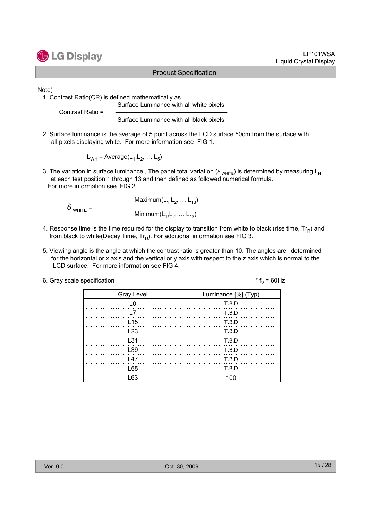

Note)

1. Contrast Ratio(CR) is defined mathematically as

Surface Luminance with all white pixels

Contrast Ratio =

Surface Luminance with all black pixels

2. Surface luminance is the average of 5 point across the LCD surface 50cm from the surface with all pixels displaying white. For more information see FIG 1.

 $L_{WH}$  = Average( $L_1, L_2, \ldots L_5$ )

3. The variation in surface luminance, The panel total variation ( $\delta_{WHITE}$ ) is determined by measuring L<sub>N</sub> at each test position 1 through 13 and then defined as followed numerical formula. For more information see FIG 2.

Maximum( $L_1, L_2, ... L_{13}$ )  $\delta$  <sub>white</sub> = Minimum( $L_1, L_2, ... L_{13}$ )

- 4. Response time is the time required for the display to transition from white to black (rise time,  $Tr_R$ ) and from black to white(Decay Time,  $Tr_D$ ). For additional information see FIG 3.
- 5. Viewing angle is the angle at which the contrast ratio is greater than 10. The angles are determined for the horizontal or x axis and the vertical or y axis with respect to the z axis which is normal to the LCD surface. For more information see FIG 4.
- 6. Gray scale specification  $* f_V = 60 Hz$

| <b>Gray Level</b> | Luminance [%] (Typ) |
|-------------------|---------------------|
|                   | T.B.D               |
|                   | T.B.D               |
| L15               | T.B.D               |
| L23               | T.B.D               |
| l 31              | T.B.D               |
| L39               | T.B.D               |
| l 47              | T.B.D               |
| L <sub>55</sub>   | T.B.D               |
| 63                |                     |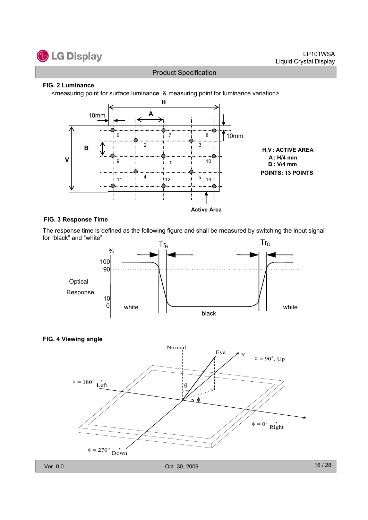

#### **FIG. 2 Luminance**

<measuring point for surface luminance & measuring point for luminance variation>



#### **FIG. 3 Response Time**

The response time is defined as the following figure and shall be measured by switching the input signal for "black" and "white".



#### **FIG. 4 Viewing angle**

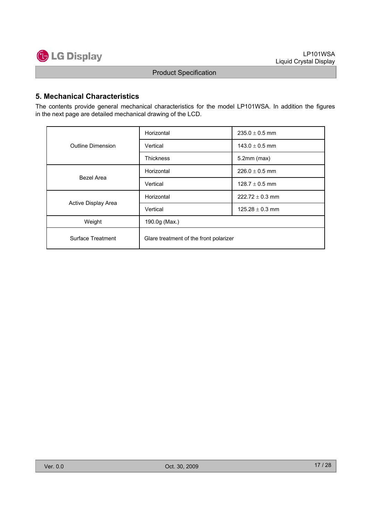

#### **5. Mechanical Characteristics**

The contents provide general mechanical characteristics for the model LP101WSA. In addition the figures in the next page are detailed mechanical drawing of the LCD.

|                     | Horizontal                             | $235.0 \pm 0.5$ mm  |  |  |  |  |
|---------------------|----------------------------------------|---------------------|--|--|--|--|
| Outline Dimension   | Vertical                               | $143.0 \pm 0.5$ mm  |  |  |  |  |
|                     | <b>Thickness</b>                       | $5.2$ mm (max)      |  |  |  |  |
| Bezel Area          | Horizontal                             | $226.0 \pm 0.5$ mm  |  |  |  |  |
|                     | Vertical                               | 128.7 $\pm$ 0.5 mm  |  |  |  |  |
|                     | Horizontal                             | $222.72 \pm 0.3$ mm |  |  |  |  |
| Active Display Area | Vertical                               | $125.28 \pm 0.3$ mm |  |  |  |  |
| Weight              | 190.0g (Max.)                          |                     |  |  |  |  |
| Surface Treatment   | Glare treatment of the front polarizer |                     |  |  |  |  |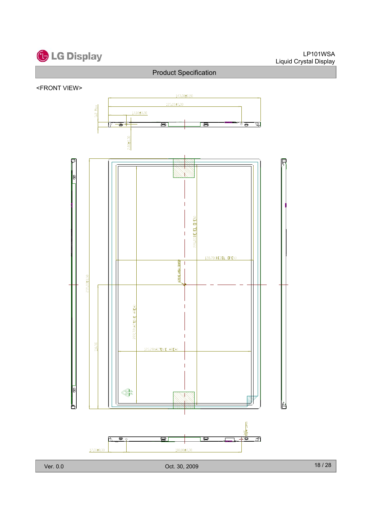

#### <FRONT VIEW>

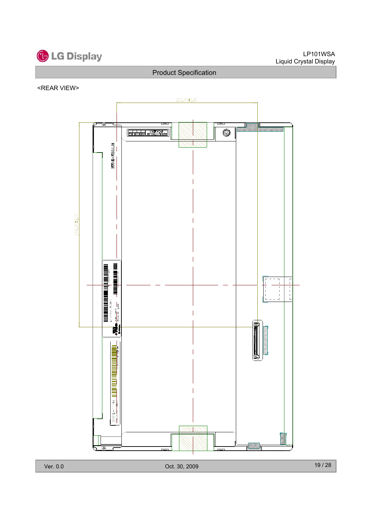

#### <REAR VIEW>

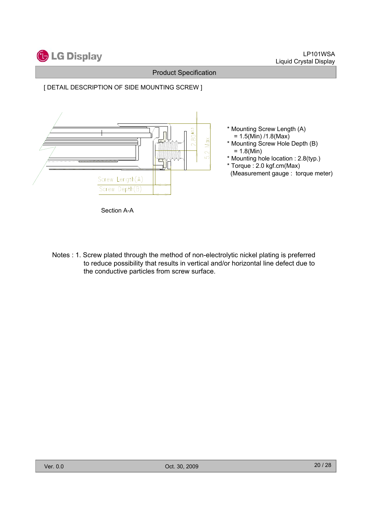

#### [ DETAIL DESCRIPTION OF SIDE MOUNTING SCREW ]



Section A-A

Notes : 1. Screw plated through the method of non-electrolytic nickel plating is preferred to reduce possibility that results in vertical and/or horizontal line defect due to the conductive particles from screw surface.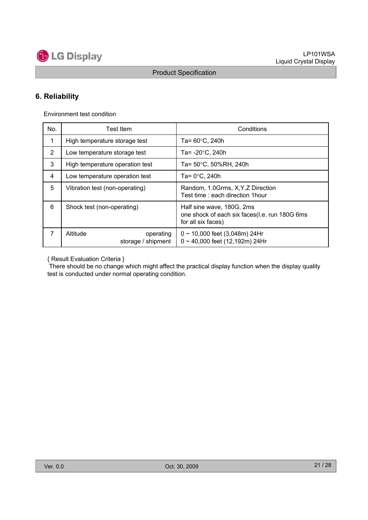

## **6. Reliability**

Environment test condition

| No.            | Test Item                                   | Conditions                                                                                       |  |  |  |  |
|----------------|---------------------------------------------|--------------------------------------------------------------------------------------------------|--|--|--|--|
| 1              | High temperature storage test               | Ta= $60^{\circ}$ C, 240h                                                                         |  |  |  |  |
| $\overline{2}$ | Low temperature storage test                | Ta= $-20^{\circ}$ C, 240h                                                                        |  |  |  |  |
| 3              | High temperature operation test             | Ta= 50°C, 50%RH, 240h                                                                            |  |  |  |  |
| 4              | Low temperature operation test              | Ta= $0^{\circ}$ C, 240h                                                                          |  |  |  |  |
| 5              | Vibration test (non-operating)              | Random, 1.0Grms, X, Y, Z Direction<br>Test time: each direction 1hour                            |  |  |  |  |
| 6              | Shock test (non-operating)                  | Half sine wave, 180G, 2ms<br>one shock of each six faces(l.e. run 180G 6ms<br>for all six faces) |  |  |  |  |
| 7              | Altitude<br>operating<br>storage / shipment | $0 \sim 10,000$ feet (3,048m) 24Hr<br>$0 \sim 40,000$ feet (12,192m) 24Hr                        |  |  |  |  |

{ Result Evaluation Criteria }

There should be no change which might affect the practical display function when the display quality test is conducted under normal operating condition.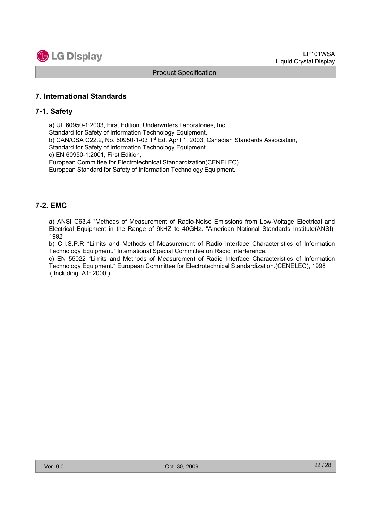

#### **7. International Standards**

#### **7-1. Safety**

a) UL 60950-1:2003, First Edition, Underwriters Laboratories, Inc.,

Standard for Safety of Information Technology Equipment.

b) CAN/CSA C22.2, No. 60950-1-03 1st Ed. April 1, 2003, Canadian Standards Association,

Standard for Safety of Information Technology Equipment.

c) EN 60950-1:2001, First Edition,

European Committee for Electrotechnical Standardization(CENELEC)

European Standard for Safety of Information Technology Equipment.

#### **7-2. EMC**

a) ANSI C63.4 "Methods of Measurement of Radio-Noise Emissions from Low-Voltage Electrical and Electrical Equipment in the Range of 9kHZ to 40GHz. "American National Standards Institute(ANSI), 1992

b) C.I.S.P.R "Limits and Methods of Measurement of Radio Interface Characteristics of Information Technology Equipment." International Special Committee on Radio Interference.

c) EN 55022 "Limits and Methods of Measurement of Radio Interface Characteristics of Information Technology Equipment." European Committee for Electrotechnical Standardization.(CENELEC), 1998 ( Including A1: 2000 )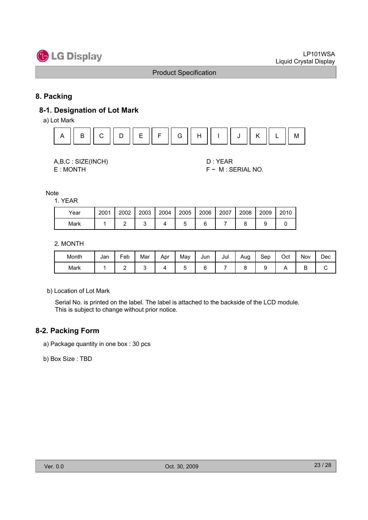

#### **8. Packing**

## **8-1. Designation of Lot Mark**

a) Lot Mark



A,B,C : SIZE(INCH) D : YEAR

E : MONTH F ~ M : SERIAL NO.

**Note** 

1. YEAR

| Year | 2001 | 2002 | 2003 | 2004 | 2005 | 2006 | 2007 | 2008 | 2009 | 2010 |
|------|------|------|------|------|------|------|------|------|------|------|
| Mark |      |      |      |      | ∼    |      |      |      |      |      |

2. MONTH

| Month | Jan | -<br>Feb | Mar | Apr | Mav | Jun | Jul | Aug | Sep | Oct | Nov | Dec |
|-------|-----|----------|-----|-----|-----|-----|-----|-----|-----|-----|-----|-----|
| Mark  |     | -        |     |     |     | L   |     |     |     |     | ◡   | ັ   |

b) Location of Lot Mark

Serial No. is printed on the label. The label is attached to the backside of the LCD module. This is subject to change without prior notice.

#### **8-2. Packing Form**

a) Package quantity in one box : 30 pcs

b) Box Size : TBD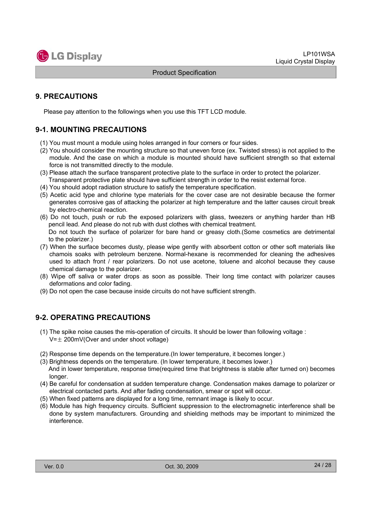

#### **9. PRECAUTIONS**

Please pay attention to the followings when you use this TFT LCD module.

#### **9-1. MOUNTING PRECAUTIONS**

- (1) You must mount a module using holes arranged in four corners or four sides.
- (2) You should consider the mounting structure so that uneven force (ex. Twisted stress) is not applied to the module. And the case on which a module is mounted should have sufficient strength so that external force is not transmitted directly to the module.
- (3) Please attach the surface transparent protective plate to the surface in order to protect the polarizer. Transparent protective plate should have sufficient strength in order to the resist external force.
- (4) You should adopt radiation structure to satisfy the temperature specification.
- (5) Acetic acid type and chlorine type materials for the cover case are not desirable because the former generates corrosive gas of attacking the polarizer at high temperature and the latter causes circuit break by electro-chemical reaction.
- (6) Do not touch, push or rub the exposed polarizers with glass, tweezers or anything harder than HB pencil lead. And please do not rub with dust clothes with chemical treatment. Do not touch the surface of polarizer for bare hand or greasy cloth.(Some cosmetics are detrimental to the polarizer.)
- (7) When the surface becomes dusty, please wipe gently with absorbent cotton or other soft materials like chamois soaks with petroleum benzene. Normal-hexane is recommended for cleaning the adhesives used to attach front / rear polarizers. Do not use acetone, toluene and alcohol because they cause chemical damage to the polarizer.
- (8) Wipe off saliva or water drops as soon as possible. Their long time contact with polarizer causes deformations and color fading.
- (9) Do not open the case because inside circuits do not have sufficient strength.

#### **9-2. OPERATING PRECAUTIONS**

- (1) The spike noise causes the mis-operation of circuits. It should be lower than following voltage :  $V=\pm 200$ mV(Over and under shoot voltage)
- (2) Response time depends on the temperature.(In lower temperature, it becomes longer.)
- (3) Brightness depends on the temperature. (In lower temperature, it becomes lower.) And in lower temperature, response time(required time that brightness is stable after turned on) becomes longer.
- (4) Be careful for condensation at sudden temperature change. Condensation makes damage to polarizer or electrical contacted parts. And after fading condensation, smear or spot will occur.
- (5) When fixed patterns are displayed for a long time, remnant image is likely to occur.
- (6) Module has high frequency circuits. Sufficient suppression to the electromagnetic interference shall be done by system manufacturers. Grounding and shielding methods may be important to minimized the interference.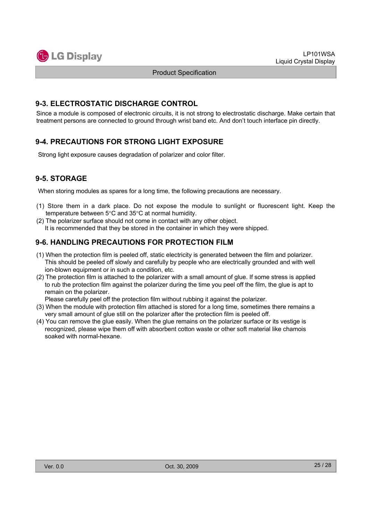

#### **9-3. ELECTROSTATIC DISCHARGE CONTROL**

Since a module is composed of electronic circuits, it is not strong to electrostatic discharge. Make certain that treatment persons are connected to ground through wrist band etc. And don't touch interface pin directly.

#### **9-4. PRECAUTIONS FOR STRONG LIGHT EXPOSURE**

Strong light exposure causes degradation of polarizer and color filter.

#### **9-5. STORAGE**

When storing modules as spares for a long time, the following precautions are necessary.

- (1) Store them in a dark place. Do not expose the module to sunlight or fluorescent light. Keep the temperature between  $5^{\circ}$ C and  $35^{\circ}$ C at normal humidity.
- (2) The polarizer surface should not come in contact with any other object. It is recommended that they be stored in the container in which they were shipped.

#### **9-6. HANDLING PRECAUTIONS FOR PROTECTION FILM**

- (1) When the protection film is peeled off, static electricity is generated between the film and polarizer. This should be peeled off slowly and carefully by people who are electrically grounded and with well ion-blown equipment or in such a condition, etc.
- (2) The protection film is attached to the polarizer with a small amount of glue. If some stress is applied to rub the protection film against the polarizer during the time you peel off the film, the glue is apt to remain on the polarizer.

Please carefully peel off the protection film without rubbing it against the polarizer.

- (3) When the module with protection film attached is stored for a long time, sometimes there remains a very small amount of glue still on the polarizer after the protection film is peeled off.
- (4) You can remove the glue easily. When the glue remains on the polarizer surface or its vestige is recognized, please wipe them off with absorbent cotton waste or other soft material like chamois soaked with normal-hexane.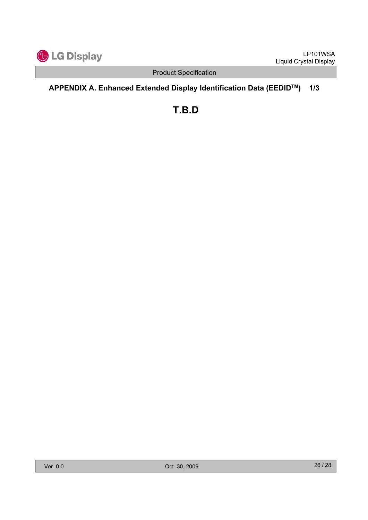

## **APPENDIX A. Enhanced Extended Display Identification Data (EEDIDTM) 1/3**

**T.B.D**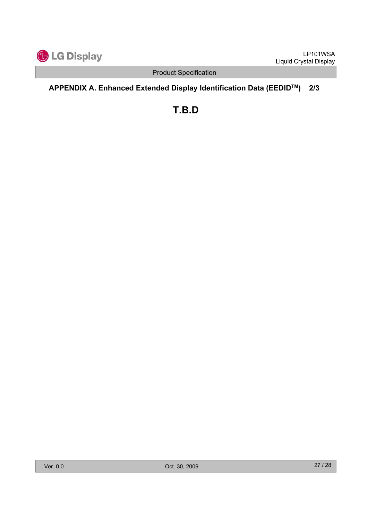

## **APPENDIX A. Enhanced Extended Display Identification Data (EEDIDTM) 2/3**

**T.B.D**